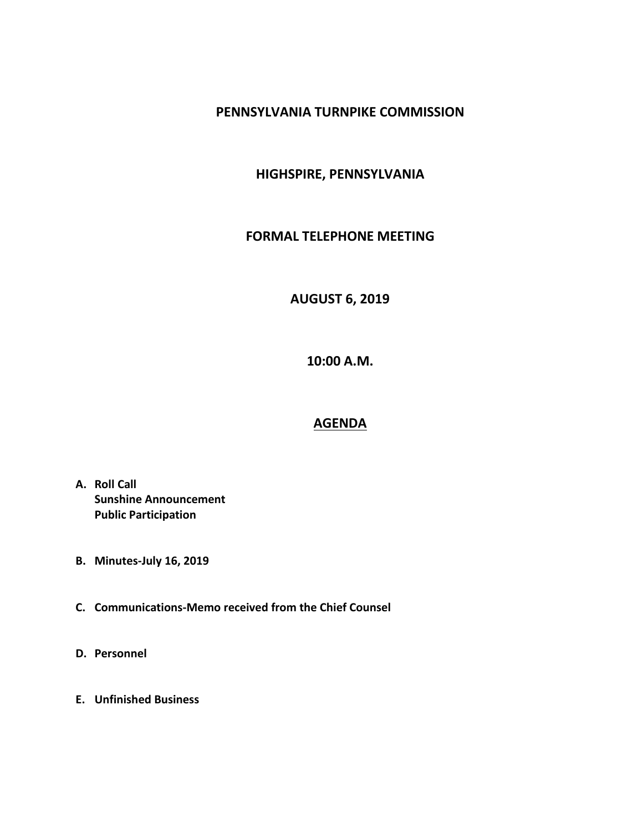#### **PENNSYLVANIA TURNPIKE COMMISSION**

### **HIGHSPIRE, PENNSYLVANIA**

#### **FORMAL TELEPHONE MEETING**

# **AUGUST 6, 2019**

**10:00 A.M.**

## **AGENDA**

- **A. Roll Call Sunshine Announcement Public Participation**
- **B. Minutes-July 16, 2019**
- **C. Communications-Memo received from the Chief Counsel**
- **D. Personnel**
- **E. Unfinished Business**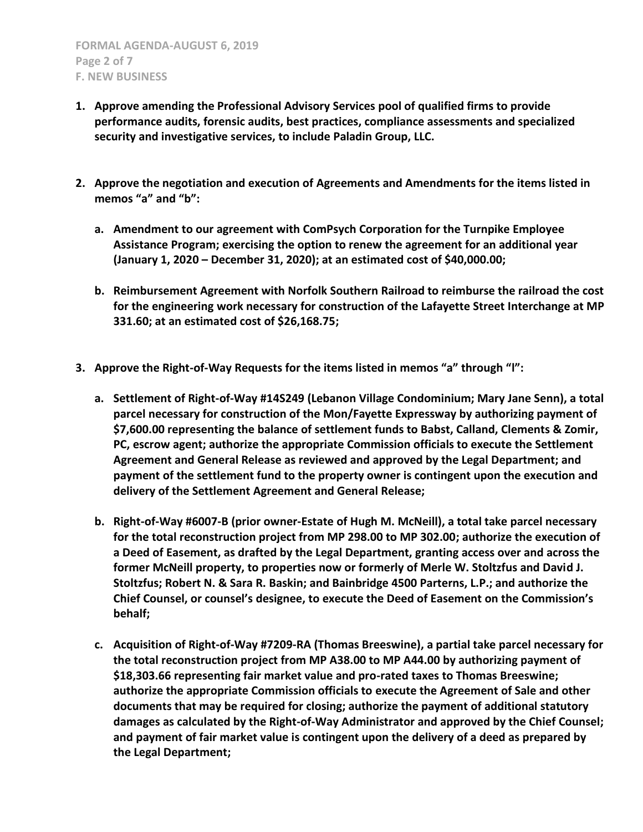- **1. Approve amending the Professional Advisory Services pool of qualified firms to provide performance audits, forensic audits, best practices, compliance assessments and specialized security and investigative services, to include Paladin Group, LLC.**
- **2. Approve the negotiation and execution of Agreements and Amendments for the items listed in memos "a" and "b":**
	- **a. Amendment to our agreement with ComPsych Corporation for the Turnpike Employee Assistance Program; exercising the option to renew the agreement for an additional year (January 1, 2020 – December 31, 2020); at an estimated cost of \$40,000.00;**
	- **b. Reimbursement Agreement with Norfolk Southern Railroad to reimburse the railroad the cost for the engineering work necessary for construction of the Lafayette Street Interchange at MP 331.60; at an estimated cost of \$26,168.75;**
- **3. Approve the Right-of-Way Requests for the items listed in memos "a" through "l":**
	- **a. Settlement of Right-of-Way #14S249 (Lebanon Village Condominium; Mary Jane Senn), a total parcel necessary for construction of the Mon/Fayette Expressway by authorizing payment of \$7,600.00 representing the balance of settlement funds to Babst, Calland, Clements & Zomir, PC, escrow agent; authorize the appropriate Commission officials to execute the Settlement Agreement and General Release as reviewed and approved by the Legal Department; and payment of the settlement fund to the property owner is contingent upon the execution and delivery of the Settlement Agreement and General Release;**
	- **b. Right-of-Way #6007-B (prior owner-Estate of Hugh M. McNeill), a total take parcel necessary for the total reconstruction project from MP 298.00 to MP 302.00; authorize the execution of a Deed of Easement, as drafted by the Legal Department, granting access over and across the former McNeill property, to properties now or formerly of Merle W. Stoltzfus and David J. Stoltzfus; Robert N. & Sara R. Baskin; and Bainbridge 4500 Parterns, L.P.; and authorize the Chief Counsel, or counsel's designee, to execute the Deed of Easement on the Commission's behalf;**
	- **c. Acquisition of Right-of-Way #7209-RA (Thomas Breeswine), a partial take parcel necessary for the total reconstruction project from MP A38.00 to MP A44.00 by authorizing payment of \$18,303.66 representing fair market value and pro-rated taxes to Thomas Breeswine; authorize the appropriate Commission officials to execute the Agreement of Sale and other documents that may be required for closing; authorize the payment of additional statutory damages as calculated by the Right-of-Way Administrator and approved by the Chief Counsel; and payment of fair market value is contingent upon the delivery of a deed as prepared by the Legal Department;**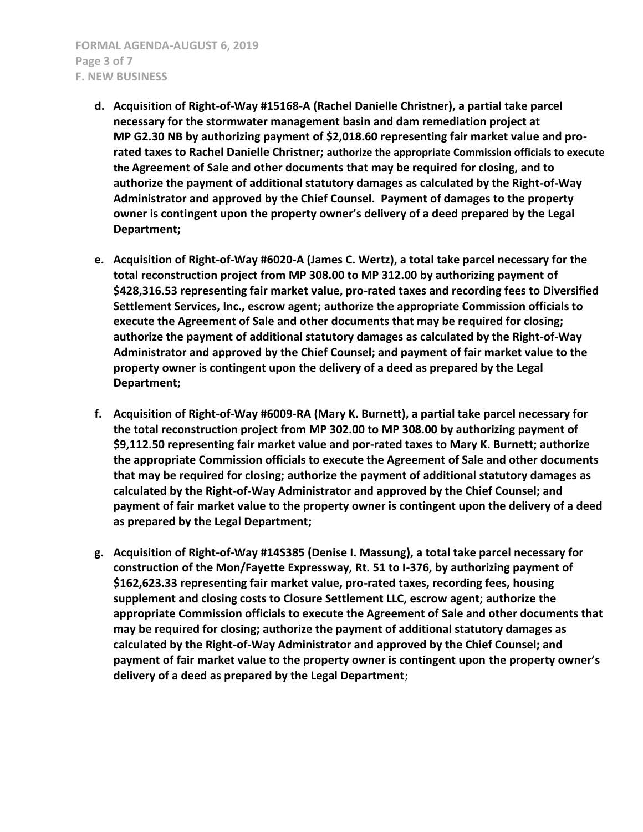- **d. Acquisition of Right-of-Way #15168-A (Rachel Danielle Christner), a partial take parcel necessary for the stormwater management basin and dam remediation project at MP G2.30 NB by authorizing payment of \$2,018.60 representing fair market value and prorated taxes to Rachel Danielle Christner; authorize the appropriate Commission officials to execute the Agreement of Sale and other documents that may be required for closing, and to authorize the payment of additional statutory damages as calculated by the Right-of-Way Administrator and approved by the Chief Counsel. Payment of damages to the property owner is contingent upon the property owner's delivery of a deed prepared by the Legal Department;**
- **e. Acquisition of Right-of-Way #6020-A (James C. Wertz), a total take parcel necessary for the total reconstruction project from MP 308.00 to MP 312.00 by authorizing payment of \$428,316.53 representing fair market value, pro-rated taxes and recording fees to Diversified Settlement Services, Inc., escrow agent; authorize the appropriate Commission officials to execute the Agreement of Sale and other documents that may be required for closing; authorize the payment of additional statutory damages as calculated by the Right-of-Way Administrator and approved by the Chief Counsel; and payment of fair market value to the property owner is contingent upon the delivery of a deed as prepared by the Legal Department;**
- **f. Acquisition of Right-of-Way #6009-RA (Mary K. Burnett), a partial take parcel necessary for the total reconstruction project from MP 302.00 to MP 308.00 by authorizing payment of \$9,112.50 representing fair market value and por-rated taxes to Mary K. Burnett; authorize the appropriate Commission officials to execute the Agreement of Sale and other documents that may be required for closing; authorize the payment of additional statutory damages as calculated by the Right-of-Way Administrator and approved by the Chief Counsel; and payment of fair market value to the property owner is contingent upon the delivery of a deed as prepared by the Legal Department;**
- **g. Acquisition of Right-of-Way #14S385 (Denise I. Massung), a total take parcel necessary for construction of the Mon/Fayette Expressway, Rt. 51 to I-376, by authorizing payment of \$162,623.33 representing fair market value, pro-rated taxes, recording fees, housing supplement and closing costs to Closure Settlement LLC, escrow agent; authorize the appropriate Commission officials to execute the Agreement of Sale and other documents that may be required for closing; authorize the payment of additional statutory damages as calculated by the Right-of-Way Administrator and approved by the Chief Counsel; and payment of fair market value to the property owner is contingent upon the property owner's delivery of a deed as prepared by the Legal Department**;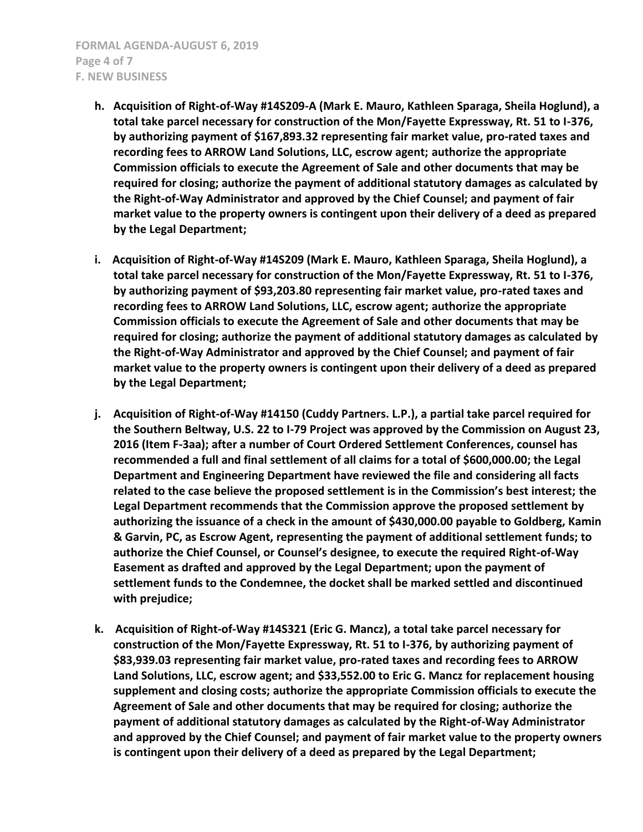- **h. Acquisition of Right-of-Way #14S209-A (Mark E. Mauro, Kathleen Sparaga, Sheila Hoglund), a total take parcel necessary for construction of the Mon/Fayette Expressway, Rt. 51 to I-376, by authorizing payment of \$167,893.32 representing fair market value, pro-rated taxes and recording fees to ARROW Land Solutions, LLC, escrow agent; authorize the appropriate Commission officials to execute the Agreement of Sale and other documents that may be required for closing; authorize the payment of additional statutory damages as calculated by the Right-of-Way Administrator and approved by the Chief Counsel; and payment of fair market value to the property owners is contingent upon their delivery of a deed as prepared by the Legal Department;**
- **i. Acquisition of Right-of-Way #14S209 (Mark E. Mauro, Kathleen Sparaga, Sheila Hoglund), a total take parcel necessary for construction of the Mon/Fayette Expressway, Rt. 51 to I-376, by authorizing payment of \$93,203.80 representing fair market value, pro-rated taxes and recording fees to ARROW Land Solutions, LLC, escrow agent; authorize the appropriate Commission officials to execute the Agreement of Sale and other documents that may be required for closing; authorize the payment of additional statutory damages as calculated by the Right-of-Way Administrator and approved by the Chief Counsel; and payment of fair market value to the property owners is contingent upon their delivery of a deed as prepared by the Legal Department;**
- **j. Acquisition of Right-of-Way #14150 (Cuddy Partners. L.P.), a partial take parcel required for the Southern Beltway, U.S. 22 to I-79 Project was approved by the Commission on August 23, 2016 (Item F-3aa); after a number of Court Ordered Settlement Conferences, counsel has recommended a full and final settlement of all claims for a total of \$600,000.00; the Legal Department and Engineering Department have reviewed the file and considering all facts related to the case believe the proposed settlement is in the Commission's best interest; the Legal Department recommends that the Commission approve the proposed settlement by authorizing the issuance of a check in the amount of \$430,000.00 payable to Goldberg, Kamin & Garvin, PC, as Escrow Agent, representing the payment of additional settlement funds; to authorize the Chief Counsel, or Counsel's designee, to execute the required Right-of-Way Easement as drafted and approved by the Legal Department; upon the payment of settlement funds to the Condemnee, the docket shall be marked settled and discontinued with prejudice;**
- **k. Acquisition of Right-of-Way #14S321 (Eric G. Mancz), a total take parcel necessary for construction of the Mon/Fayette Expressway, Rt. 51 to I-376, by authorizing payment of \$83,939.03 representing fair market value, pro-rated taxes and recording fees to ARROW Land Solutions, LLC, escrow agent; and \$33,552.00 to Eric G. Mancz for replacement housing supplement and closing costs; authorize the appropriate Commission officials to execute the Agreement of Sale and other documents that may be required for closing; authorize the payment of additional statutory damages as calculated by the Right-of-Way Administrator and approved by the Chief Counsel; and payment of fair market value to the property owners is contingent upon their delivery of a deed as prepared by the Legal Department;**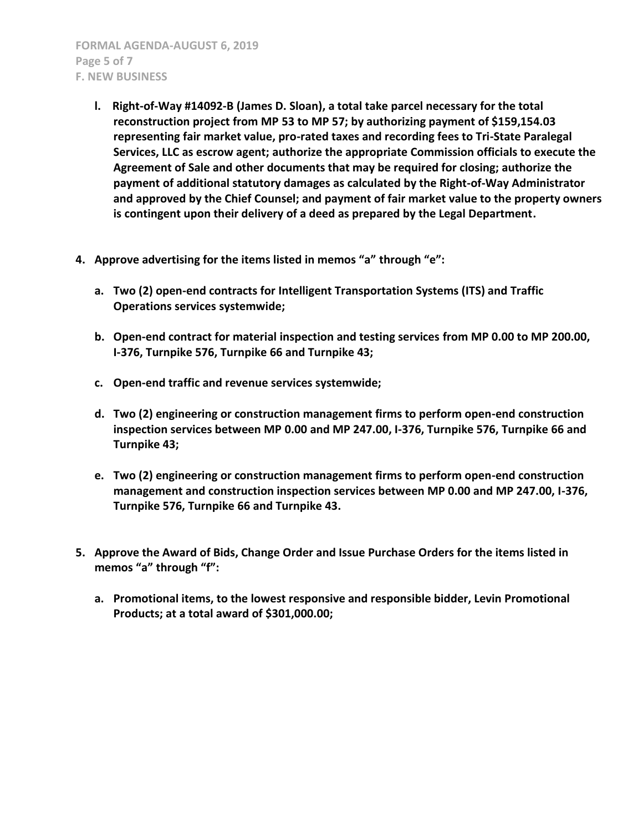- **l. Right-of-Way #14092-B (James D. Sloan), a total take parcel necessary for the total reconstruction project from MP 53 to MP 57; by authorizing payment of \$159,154.03 representing fair market value, pro-rated taxes and recording fees to Tri-State Paralegal Services, LLC as escrow agent; authorize the appropriate Commission officials to execute the Agreement of Sale and other documents that may be required for closing; authorize the payment of additional statutory damages as calculated by the Right-of-Way Administrator and approved by the Chief Counsel; and payment of fair market value to the property owners is contingent upon their delivery of a deed as prepared by the Legal Department.**
- **4. Approve advertising for the items listed in memos "a" through "e":**
	- **a. Two (2) open-end contracts for Intelligent Transportation Systems (ITS) and Traffic Operations services systemwide;**
	- **b. Open-end contract for material inspection and testing services from MP 0.00 to MP 200.00, I-376, Turnpike 576, Turnpike 66 and Turnpike 43;**
	- **c. Open-end traffic and revenue services systemwide;**
	- **d. Two (2) engineering or construction management firms to perform open-end construction inspection services between MP 0.00 and MP 247.00, I-376, Turnpike 576, Turnpike 66 and Turnpike 43;**
	- **e. Two (2) engineering or construction management firms to perform open-end construction management and construction inspection services between MP 0.00 and MP 247.00, I-376, Turnpike 576, Turnpike 66 and Turnpike 43.**
- **5. Approve the Award of Bids, Change Order and Issue Purchase Orders for the items listed in memos "a" through "f":**
	- **a. Promotional items, to the lowest responsive and responsible bidder, Levin Promotional Products; at a total award of \$301,000.00;**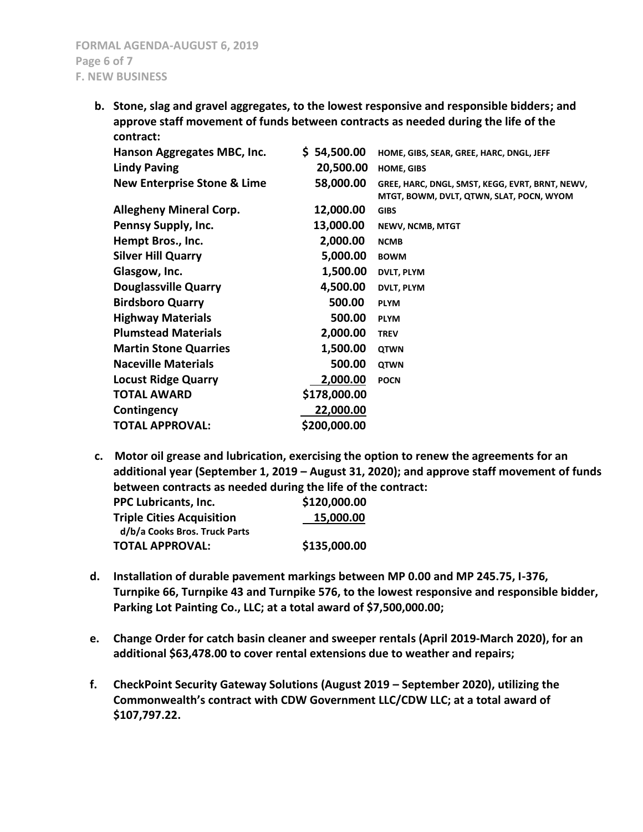**b. Stone, slag and gravel aggregates, to the lowest responsive and responsible bidders; and approve staff movement of funds between contracts as needed during the life of the contract:**

| \$ 54,500.00 | HOME, GIBS, SEAR, GREE, HARC, DNGL, JEFF        |
|--------------|-------------------------------------------------|
| 20,500.00    | <b>HOME, GIBS</b>                               |
| 58,000.00    | GREE, HARC, DNGL, SMST, KEGG, EVRT, BRNT, NEWV, |
|              | MTGT, BOWM, DVLT, QTWN, SLAT, POCN, WYOM        |
| 12,000.00    | <b>GIBS</b>                                     |
| 13,000.00    | <b>NEWV, NCMB, MTGT</b>                         |
| 2,000.00     | <b>NCMB</b>                                     |
| 5,000.00     | <b>BOWM</b>                                     |
| 1,500.00     | <b>DVLT, PLYM</b>                               |
| 4,500.00     | <b>DVLT, PLYM</b>                               |
| 500.00       | <b>PLYM</b>                                     |
| 500.00       | <b>PLYM</b>                                     |
| 2,000.00     | <b>TREV</b>                                     |
| 1,500.00     | <b>QTWN</b>                                     |
| 500.00       | <b>QTWN</b>                                     |
| 2,000.00     | <b>POCN</b>                                     |
| \$178,000.00 |                                                 |
| 22,000.00    |                                                 |
| \$200,000.00 |                                                 |
|              |                                                 |

**c. Motor oil grease and lubrication, exercising the option to renew the agreements for an additional year (September 1, 2019 – August 31, 2020); and approve staff movement of funds between contracts as needed during the life of the contract:**

| PPC Lubricants, Inc.             | \$120,000.00 |
|----------------------------------|--------------|
| <b>Triple Cities Acquisition</b> | 15,000.00    |
| d/b/a Cooks Bros. Truck Parts    |              |
| <b>TOTAL APPROVAL:</b>           | \$135,000.00 |

- **d. Installation of durable pavement markings between MP 0.00 and MP 245.75, I-376, Turnpike 66, Turnpike 43 and Turnpike 576, to the lowest responsive and responsible bidder, Parking Lot Painting Co., LLC; at a total award of \$7,500,000.00;**
- **e. Change Order for catch basin cleaner and sweeper rentals (April 2019-March 2020), for an additional \$63,478.00 to cover rental extensions due to weather and repairs;**
- **f. CheckPoint Security Gateway Solutions (August 2019 – September 2020), utilizing the Commonwealth's contract with CDW Government LLC/CDW LLC; at a total award of \$107,797.22.**